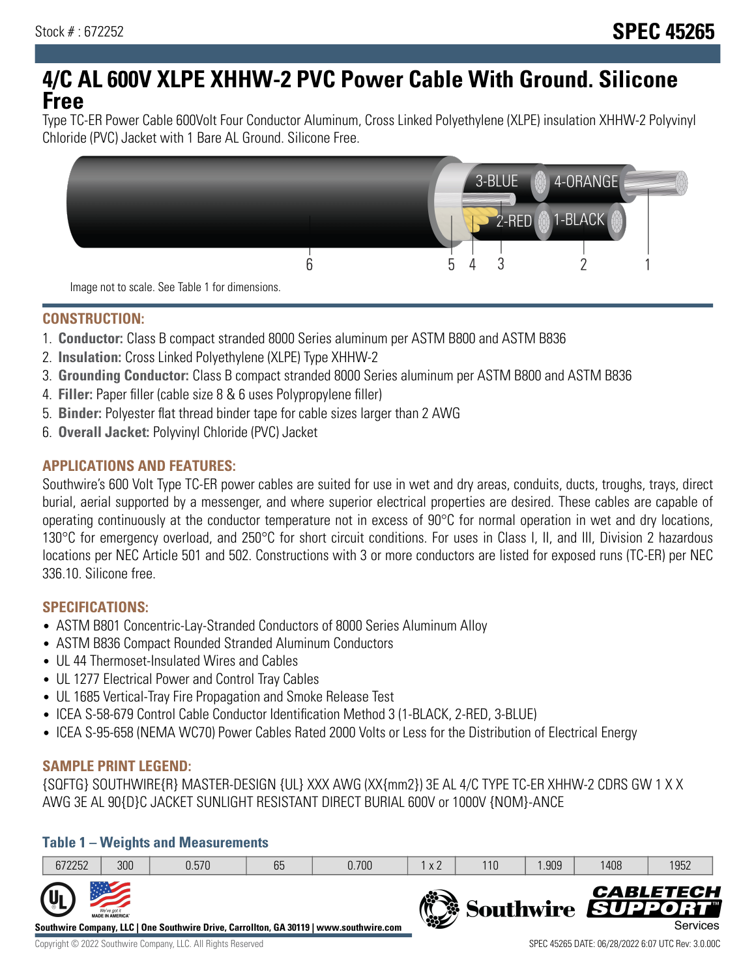# **4/C AL 600V XLPE XHHW-2 PVC Power Cable With Ground. Silicone Free**

Type TC-ER Power Cable 600Volt Four Conductor Aluminum, Cross Linked Polyethylene (XLPE) insulation XHHW-2 Polyvinyl Chloride (PVC) Jacket with 1 Bare AL Ground. Silicone Free.



**CONSTRUCTION:**

- 1. **Conductor:** Class B compact stranded 8000 Series aluminum per ASTM B800 and ASTM B836
- 2. **Insulation:** Cross Linked Polyethylene (XLPE) Type XHHW-2
- 3. **Grounding Conductor:** Class B compact stranded 8000 Series aluminum per ASTM B800 and ASTM B836
- 4. **Filler:** Paper filler (cable size 8 & 6 uses Polypropylene filler)
- 5. **Binder:** Polyester flat thread binder tape for cable sizes larger than 2 AWG
- 6. **Overall Jacket:** Polyvinyl Chloride (PVC) Jacket

## **APPLICATIONS AND FEATURES:**

Southwire's 600 Volt Type TC-ER power cables are suited for use in wet and dry areas, conduits, ducts, troughs, trays, direct burial, aerial supported by a messenger, and where superior electrical properties are desired. These cables are capable of operating continuously at the conductor temperature not in excess of 90°C for normal operation in wet and dry locations, 130°C for emergency overload, and 250°C for short circuit conditions. For uses in Class I, II, and III, Division 2 hazardous locations per NEC Article 501 and 502. Constructions with 3 or more conductors are listed for exposed runs (TC-ER) per NEC 336.10. Silicone free.

### **SPECIFICATIONS:**

- ASTM B801 Concentric-Lay-Stranded Conductors of 8000 Series Aluminum Alloy
- ASTM B836 Compact Rounded Stranded Aluminum Conductors
- UL 44 Thermoset-Insulated Wires and Cables
- UL 1277 Electrical Power and Control Tray Cables
- UL 1685 Vertical-Tray Fire Propagation and Smoke Release Test
- ICEA S-58-679 Control Cable Conductor Identification Method 3 (1-BLACK, 2-RED, 3-BLUE)
- ICEA S-95-658 (NEMA WC70) Power Cables Rated 2000 Volts or Less for the Distribution of Electrical Energy

### **SAMPLE PRINT LEGEND:**

{SQFTG} SOUTHWIRE{R} MASTER-DESIGN {UL} XXX AWG (XX{mm2}) 3E AL 4/C TYPE TC-ER XHHW-2 CDRS GW 1 X X AWG 3E AL 90{D}C JACKET SUNLIGHT RESISTANT DIRECT BURIAL 600V or 1000V {NOM}-ANCE

### **Table 1 – Weights and Measurements**

| 672252                    | 300                                     | 0.570                                                                                  | 65 | 0.700 | x 2           | 110 | .909 | 1408 | 1952                                              |
|---------------------------|-----------------------------------------|----------------------------------------------------------------------------------------|----|-------|---------------|-----|------|------|---------------------------------------------------|
| $\mathbf{u}_{\mathsf{L}}$ | We've got it<br><b>MADE IN AMERICA®</b> | Southwire Company, LLC   One Southwire Drive, Carrollton, GA 30119   www.southwire.com |    |       | $\frac{1}{2}$ |     |      |      | <b>CABLETECH</b><br>Southwire SUPPORT<br>Services |